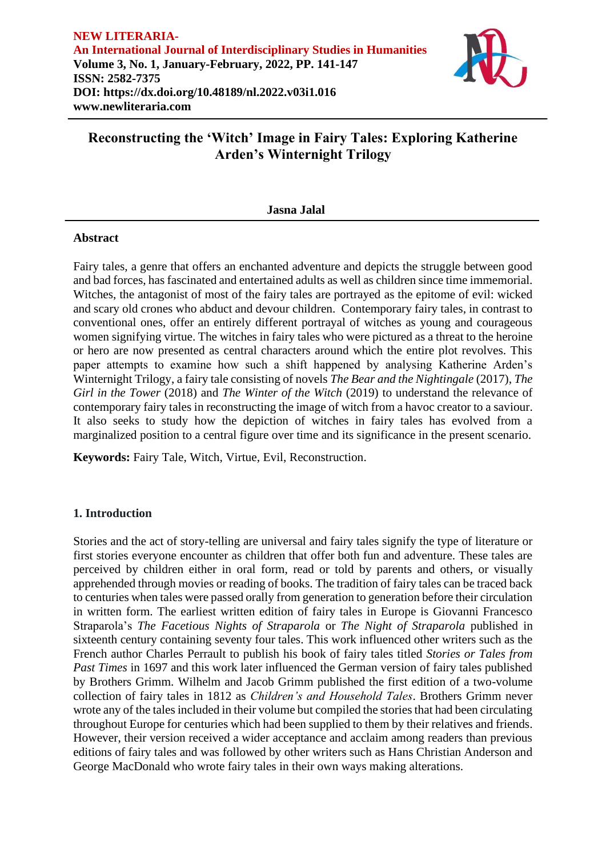

# **Reconstructing the 'Witch' Image in Fairy Tales: Exploring Katherine Arden's Winternight Trilogy**

**Jasna Jalal**

### **Abstract**

Fairy tales, a genre that offers an enchanted adventure and depicts the struggle between good and bad forces, has fascinated and entertained adults as well as children since time immemorial. Witches, the antagonist of most of the fairy tales are portrayed as the epitome of evil: wicked and scary old crones who abduct and devour children. Contemporary fairy tales, in contrast to conventional ones, offer an entirely different portrayal of witches as young and courageous women signifying virtue. The witches in fairy tales who were pictured as a threat to the heroine or hero are now presented as central characters around which the entire plot revolves. This paper attempts to examine how such a shift happened by analysing Katherine Arden's Winternight Trilogy, a fairy tale consisting of novels *The Bear and the Nightingale* (2017), *The Girl in the Tower* (2018) and *The Winter of the Witch* (2019) to understand the relevance of contemporary fairy tales in reconstructing the image of witch from a havoc creator to a saviour. It also seeks to study how the depiction of witches in fairy tales has evolved from a marginalized position to a central figure over time and its significance in the present scenario.

**Keywords:** Fairy Tale, Witch, Virtue, Evil, Reconstruction.

### **1. Introduction**

Stories and the act of story-telling are universal and fairy tales signify the type of literature or first stories everyone encounter as children that offer both fun and adventure. These tales are perceived by children either in oral form, read or told by parents and others, or visually apprehended through movies or reading of books. The tradition of fairy tales can be traced back to centuries when tales were passed orally from generation to generation before their circulation in written form. The earliest written edition of fairy tales in Europe is Giovanni Francesco Straparola's *The Facetious Nights of Straparola* or *The Night of Straparola* published in sixteenth century containing seventy four tales. This work influenced other writers such as the French author Charles Perrault to publish his book of fairy tales titled *Stories or Tales from Past Times* in 1697 and this work later influenced the German version of fairy tales published by Brothers Grimm. Wilhelm and Jacob Grimm published the first edition of a two-volume collection of fairy tales in 1812 as *Children's and Household Tales*. Brothers Grimm never wrote any of the tales included in their volume but compiled the stories that had been circulating throughout Europe for centuries which had been supplied to them by their relatives and friends. However, their version received a wider acceptance and acclaim among readers than previous editions of fairy tales and was followed by other writers such as Hans Christian Anderson and George MacDonald who wrote fairy tales in their own ways making alterations.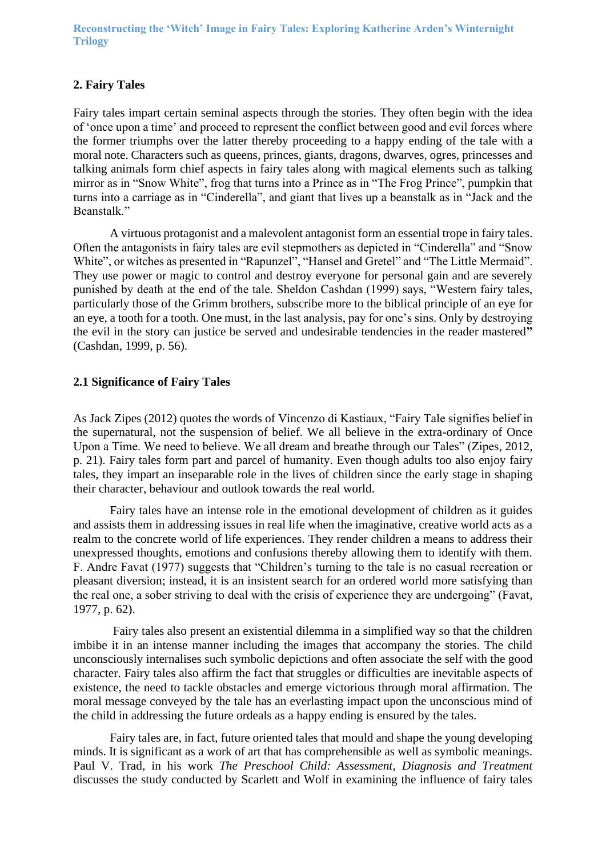**Reconstructing the 'Witch' Image in Fairy Tales: Exploring Katherine Arden's Winternight Trilogy**

### **2. Fairy Tales**

Fairy tales impart certain seminal aspects through the stories. They often begin with the idea of 'once upon a time' and proceed to represent the conflict between good and evil forces where the former triumphs over the latter thereby proceeding to a happy ending of the tale with a moral note. Characters such as queens, princes, giants, dragons, dwarves, ogres, princesses and talking animals form chief aspects in fairy tales along with magical elements such as talking mirror as in "Snow White", frog that turns into a Prince as in "The Frog Prince", pumpkin that turns into a carriage as in "Cinderella", and giant that lives up a beanstalk as in "Jack and the Beanstalk."

A virtuous protagonist and a malevolent antagonist form an essential trope in fairy tales. Often the antagonists in fairy tales are evil stepmothers as depicted in "Cinderella" and "Snow White", or witches as presented in "Rapunzel", "Hansel and Gretel" and "The Little Mermaid". They use power or magic to control and destroy everyone for personal gain and are severely punished by death at the end of the tale. Sheldon Cashdan (1999) says, "Western fairy tales, particularly those of the Grimm brothers, subscribe more to the biblical principle of an eye for an eye, a tooth for a tooth. One must, in the last analysis, pay for one's sins. Only by destroying the evil in the story can justice be served and undesirable tendencies in the reader mastered**"**  (Cashdan, 1999, p. 56).

### **2.1 Significance of Fairy Tales**

As Jack Zipes (2012) quotes the words of Vincenzo di Kastiaux, "Fairy Tale signifies belief in the supernatural, not the suspension of belief. We all believe in the extra-ordinary of Once Upon a Time. We need to believe. We all dream and breathe through our Tales" (Zipes, 2012, p. 21). Fairy tales form part and parcel of humanity. Even though adults too also enjoy fairy tales, they impart an inseparable role in the lives of children since the early stage in shaping their character, behaviour and outlook towards the real world.

Fairy tales have an intense role in the emotional development of children as it guides and assists them in addressing issues in real life when the imaginative, creative world acts as a realm to the concrete world of life experiences. They render children a means to address their unexpressed thoughts, emotions and confusions thereby allowing them to identify with them. F. Andre Favat (1977) suggests that "Children's turning to the tale is no casual recreation or pleasant diversion; instead, it is an insistent search for an ordered world more satisfying than the real one, a sober striving to deal with the crisis of experience they are undergoing" (Favat, 1977, p. 62).

Fairy tales also present an existential dilemma in a simplified way so that the children imbibe it in an intense manner including the images that accompany the stories. The child unconsciously internalises such symbolic depictions and often associate the self with the good character. Fairy tales also affirm the fact that struggles or difficulties are inevitable aspects of existence, the need to tackle obstacles and emerge victorious through moral affirmation. The moral message conveyed by the tale has an everlasting impact upon the unconscious mind of the child in addressing the future ordeals as a happy ending is ensured by the tales.

Fairy tales are, in fact, future oriented tales that mould and shape the young developing minds. It is significant as a work of art that has comprehensible as well as symbolic meanings. Paul V. Trad, in his work *The Preschool Child: Assessment, Diagnosis and Treatment*  discusses the study conducted by Scarlett and Wolf in examining the influence of fairy tales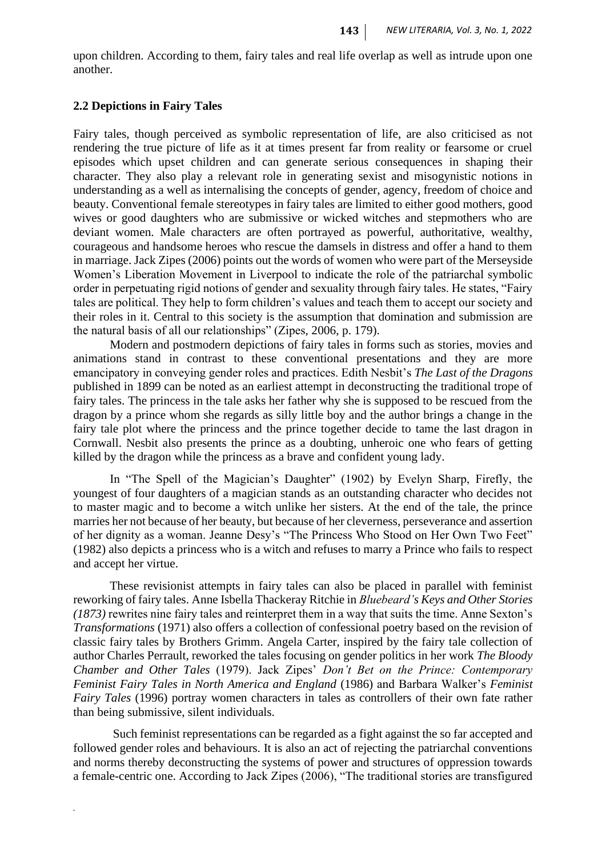upon children. According to them, fairy tales and real life overlap as well as intrude upon one another.

### **2.2 Depictions in Fairy Tales**

*.*

Fairy tales, though perceived as symbolic representation of life, are also criticised as not rendering the true picture of life as it at times present far from reality or fearsome or cruel episodes which upset children and can generate serious consequences in shaping their character. They also play a relevant role in generating sexist and misogynistic notions in understanding as a well as internalising the concepts of gender, agency, freedom of choice and beauty. Conventional female stereotypes in fairy tales are limited to either good mothers, good wives or good daughters who are submissive or wicked witches and stepmothers who are deviant women. Male characters are often portrayed as powerful, authoritative, wealthy, courageous and handsome heroes who rescue the damsels in distress and offer a hand to them in marriage. Jack Zipes (2006) points out the words of women who were part of the Merseyside Women's Liberation Movement in Liverpool to indicate the role of the patriarchal symbolic order in perpetuating rigid notions of gender and sexuality through fairy tales. He states, "Fairy tales are political. They help to form children's values and teach them to accept our society and their roles in it. Central to this society is the assumption that domination and submission are the natural basis of all our relationships" (Zipes, 2006, p. 179).

Modern and postmodern depictions of fairy tales in forms such as stories, movies and animations stand in contrast to these conventional presentations and they are more emancipatory in conveying gender roles and practices. Edith Nesbit's *The Last of the Dragons* published in 1899 can be noted as an earliest attempt in deconstructing the traditional trope of fairy tales. The princess in the tale asks her father why she is supposed to be rescued from the dragon by a prince whom she regards as silly little boy and the author brings a change in the fairy tale plot where the princess and the prince together decide to tame the last dragon in Cornwall. Nesbit also presents the prince as a doubting, unheroic one who fears of getting killed by the dragon while the princess as a brave and confident young lady.

In "The Spell of the Magician's Daughter" (1902) by Evelyn Sharp, Firefly, the youngest of four daughters of a magician stands as an outstanding character who decides not to master magic and to become a witch unlike her sisters. At the end of the tale, the prince marries her not because of her beauty, but because of her cleverness, perseverance and assertion of her dignity as a woman. Jeanne Desy's "The Princess Who Stood on Her Own Two Feet" (1982) also depicts a princess who is a witch and refuses to marry a Prince who fails to respect and accept her virtue.

These revisionist attempts in fairy tales can also be placed in parallel with feminist reworking of fairy tales. Anne Isbella Thackeray Ritchie in *Bluebeard's Keys and Other Stories (1873)* rewrites nine fairy tales and reinterpret them in a way that suits the time. Anne Sexton's *Transformations* (1971) also offers a collection of confessional poetry based on the revision of classic fairy tales by Brothers Grimm. Angela Carter, inspired by the fairy tale collection of author Charles Perrault, reworked the tales focusing on gender politics in her work *The Bloody Chamber and Other Tales* (1979). Jack Zipes' *Don't Bet on the Prince: Contemporary Feminist Fairy Tales in North America and England* (1986) and Barbara Walker's *Feminist Fairy Tales* (1996) portray women characters in tales as controllers of their own fate rather than being submissive, silent individuals.

Such feminist representations can be regarded as a fight against the so far accepted and followed gender roles and behaviours. It is also an act of rejecting the patriarchal conventions and norms thereby deconstructing the systems of power and structures of oppression towards a female-centric one. According to Jack Zipes (2006), "The traditional stories are transfigured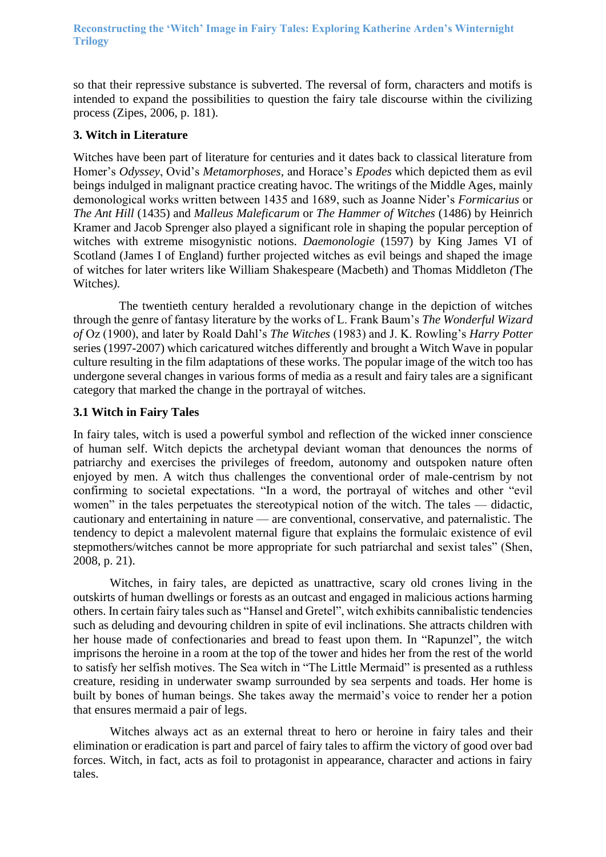so that their repressive substance is subverted. The reversal of form, characters and motifs is intended to expand the possibilities to question the fairy tale discourse within the civilizing process (Zipes, 2006, p. 181).

## **3. Witch in Literature**

Witches have been part of literature for centuries and it dates back to classical literature from Homer's *Odyssey*, Ovid's *Metamorphoses,* and Horace's *Epodes* which depicted them as evil beings indulged in malignant practice creating havoc. The writings of the Middle Ages, mainly demonological works written between 1435 and 1689, such as Joanne Nider's *Formicarius* or *The Ant Hill* (1435) and *Malleus Maleficarum* or *The Hammer of Witches* (1486) by Heinrich Kramer and Jacob Sprenger also played a significant role in shaping the popular perception of witches with extreme misogynistic notions. *Daemonologie* (1597) by King James VI of Scotland (James I of England) further projected witches as evil beings and shaped the image of witches for later writers like William Shakespeare (Macbeth) and Thomas Middleton *(*The Witches*).*

 The twentieth century heralded a revolutionary change in the depiction of witches through the genre of fantasy literature by the works of L. Frank Baum's *The Wonderful Wizard of* Oz (1900), and later by Roald Dahl's *The Witches* (1983) and J. K. Rowling's *Harry Potter* series (1997-2007) which caricatured witches differently and brought a Witch Wave in popular culture resulting in the film adaptations of these works. The popular image of the witch too has undergone several changes in various forms of media as a result and fairy tales are a significant category that marked the change in the portrayal of witches.

## **3.1 Witch in Fairy Tales**

In fairy tales, witch is used a powerful symbol and reflection of the wicked inner conscience of human self. Witch depicts the archetypal deviant woman that denounces the norms of patriarchy and exercises the privileges of freedom, autonomy and outspoken nature often enjoyed by men. A witch thus challenges the conventional order of male-centrism by not confirming to societal expectations. "In a word, the portrayal of witches and other "evil women" in the tales perpetuates the stereotypical notion of the witch. The tales — didactic, cautionary and entertaining in nature — are conventional, conservative, and paternalistic. The tendency to depict a malevolent maternal figure that explains the formulaic existence of evil stepmothers/witches cannot be more appropriate for such patriarchal and sexist tales" (Shen, 2008, p. 21).

Witches, in fairy tales, are depicted as unattractive, scary old crones living in the outskirts of human dwellings or forests as an outcast and engaged in malicious actions harming others. In certain fairy tales such as "Hansel and Gretel", witch exhibits cannibalistic tendencies such as deluding and devouring children in spite of evil inclinations. She attracts children with her house made of confectionaries and bread to feast upon them. In "Rapunzel"*,* the witch imprisons the heroine in a room at the top of the tower and hides her from the rest of the world to satisfy her selfish motives. The Sea witch in "The Little Mermaid" is presented as a ruthless creature, residing in underwater swamp surrounded by sea serpents and toads. Her home is built by bones of human beings. She takes away the mermaid's voice to render her a potion that ensures mermaid a pair of legs.

Witches always act as an external threat to hero or heroine in fairy tales and their elimination or eradication is part and parcel of fairy tales to affirm the victory of good over bad forces. Witch, in fact, acts as foil to protagonist in appearance, character and actions in fairy tales.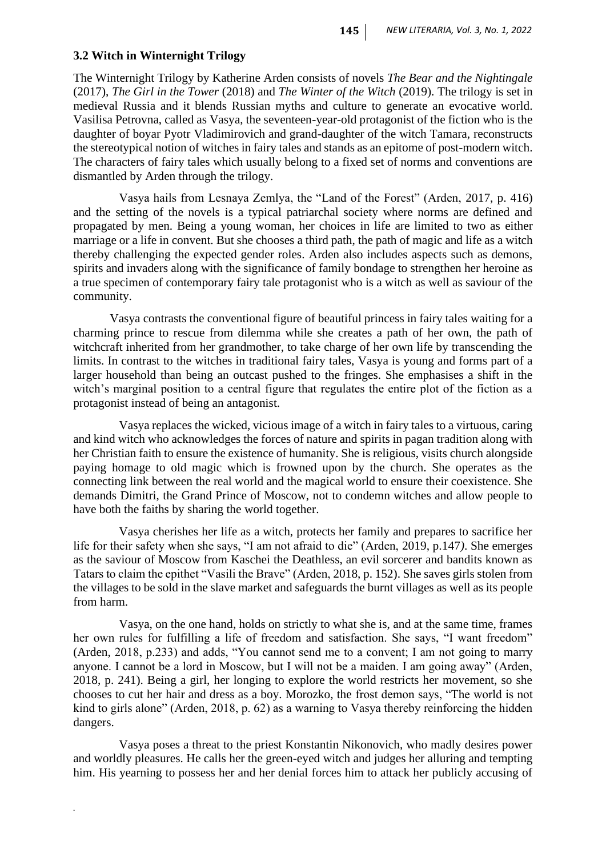### **3.2 Witch in Winternight Trilogy**

*.*

The Winternight Trilogy by Katherine Arden consists of novels *The Bear and the Nightingale* (2017), *The Girl in the Tower* (2018) and *The Winter of the Witch* (2019). The trilogy is set in medieval Russia and it blends Russian myths and culture to generate an evocative world. Vasilisa Petrovna, called as Vasya, the seventeen-year-old protagonist of the fiction who is the daughter of boyar Pyotr Vladimirovich and grand-daughter of the witch Tamara, reconstructs the stereotypical notion of witches in fairy tales and stands as an epitome of post-modern witch. The characters of fairy tales which usually belong to a fixed set of norms and conventions are dismantled by Arden through the trilogy.

 Vasya hails from Lesnaya Zemlya, the "Land of the Forest" (Arden, 2017, p. 416) and the setting of the novels is a typical patriarchal society where norms are defined and propagated by men. Being a young woman, her choices in life are limited to two as either marriage or a life in convent. But she chooses a third path, the path of magic and life as a witch thereby challenging the expected gender roles. Arden also includes aspects such as demons, spirits and invaders along with the significance of family bondage to strengthen her heroine as a true specimen of contemporary fairy tale protagonist who is a witch as well as saviour of the community.

Vasya contrasts the conventional figure of beautiful princess in fairy tales waiting for a charming prince to rescue from dilemma while she creates a path of her own, the path of witchcraft inherited from her grandmother, to take charge of her own life by transcending the limits. In contrast to the witches in traditional fairy tales, Vasya is young and forms part of a larger household than being an outcast pushed to the fringes. She emphasises a shift in the witch's marginal position to a central figure that regulates the entire plot of the fiction as a protagonist instead of being an antagonist.

 Vasya replaces the wicked, vicious image of a witch in fairy tales to a virtuous, caring and kind witch who acknowledges the forces of nature and spirits in pagan tradition along with her Christian faith to ensure the existence of humanity. She is religious, visits church alongside paying homage to old magic which is frowned upon by the church. She operates as the connecting link between the real world and the magical world to ensure their coexistence. She demands Dimitri, the Grand Prince of Moscow, not to condemn witches and allow people to have both the faiths by sharing the world together.

 Vasya cherishes her life as a witch, protects her family and prepares to sacrifice her life for their safety when she says, "I am not afraid to die" (Arden, 2019, p.147*)*. She emerges as the saviour of Moscow from Kaschei the Deathless, an evil sorcerer and bandits known as Tatars to claim the epithet "Vasili the Brave" (Arden, 2018, p. 152). She saves girls stolen from the villages to be sold in the slave market and safeguards the burnt villages as well as its people from harm.

 Vasya, on the one hand, holds on strictly to what she is, and at the same time, frames her own rules for fulfilling a life of freedom and satisfaction. She says, "I want freedom" (Arden, 2018, p.233) and adds, "You cannot send me to a convent; I am not going to marry anyone. I cannot be a lord in Moscow, but I will not be a maiden. I am going away" (Arden, 2018, p. 241). Being a girl, her longing to explore the world restricts her movement, so she chooses to cut her hair and dress as a boy. Morozko, the frost demon says, "The world is not kind to girls alone" (Arden, 2018, p. 62) as a warning to Vasya thereby reinforcing the hidden dangers.

 Vasya poses a threat to the priest Konstantin Nikonovich, who madly desires power and worldly pleasures. He calls her the green-eyed witch and judges her alluring and tempting him. His yearning to possess her and her denial forces him to attack her publicly accusing of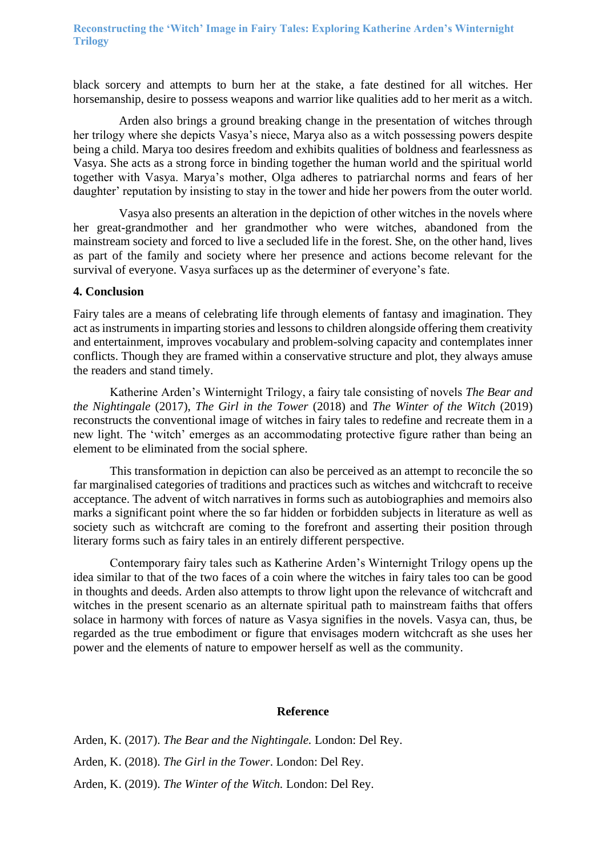**Reconstructing the 'Witch' Image in Fairy Tales: Exploring Katherine Arden's Winternight Trilogy**

black sorcery and attempts to burn her at the stake, a fate destined for all witches. Her horsemanship, desire to possess weapons and warrior like qualities add to her merit as a witch.

 Arden also brings a ground breaking change in the presentation of witches through her trilogy where she depicts Vasya's niece, Marya also as a witch possessing powers despite being a child. Marya too desires freedom and exhibits qualities of boldness and fearlessness as Vasya. She acts as a strong force in binding together the human world and the spiritual world together with Vasya. Marya's mother, Olga adheres to patriarchal norms and fears of her daughter' reputation by insisting to stay in the tower and hide her powers from the outer world.

 Vasya also presents an alteration in the depiction of other witches in the novels where her great-grandmother and her grandmother who were witches, abandoned from the mainstream society and forced to live a secluded life in the forest. She, on the other hand, lives as part of the family and society where her presence and actions become relevant for the survival of everyone. Vasya surfaces up as the determiner of everyone's fate.

### **4. Conclusion**

Fairy tales are a means of celebrating life through elements of fantasy and imagination. They act as instruments in imparting stories and lessons to children alongside offering them creativity and entertainment, improves vocabulary and problem-solving capacity and contemplates inner conflicts. Though they are framed within a conservative structure and plot, they always amuse the readers and stand timely.

Katherine Arden's Winternight Trilogy, a fairy tale consisting of novels *The Bear and the Nightingale* (2017), *The Girl in the Tower* (2018) and *The Winter of the Witch* (2019) reconstructs the conventional image of witches in fairy tales to redefine and recreate them in a new light. The 'witch' emerges as an accommodating protective figure rather than being an element to be eliminated from the social sphere.

This transformation in depiction can also be perceived as an attempt to reconcile the so far marginalised categories of traditions and practices such as witches and witchcraft to receive acceptance. The advent of witch narratives in forms such as autobiographies and memoirs also marks a significant point where the so far hidden or forbidden subjects in literature as well as society such as witchcraft are coming to the forefront and asserting their position through literary forms such as fairy tales in an entirely different perspective.

Contemporary fairy tales such as Katherine Arden's Winternight Trilogy opens up the idea similar to that of the two faces of a coin where the witches in fairy tales too can be good in thoughts and deeds. Arden also attempts to throw light upon the relevance of witchcraft and witches in the present scenario as an alternate spiritual path to mainstream faiths that offers solace in harmony with forces of nature as Vasya signifies in the novels. Vasya can, thus, be regarded as the true embodiment or figure that envisages modern witchcraft as she uses her power and the elements of nature to empower herself as well as the community.

### **Reference**

Arden, K. (2017). *The Bear and the Nightingale.* London: Del Rey. Arden, K. (2018). *The Girl in the Tower*. London: Del Rey. Arden, K. (2019). *The Winter of the Witch.* London: Del Rey.